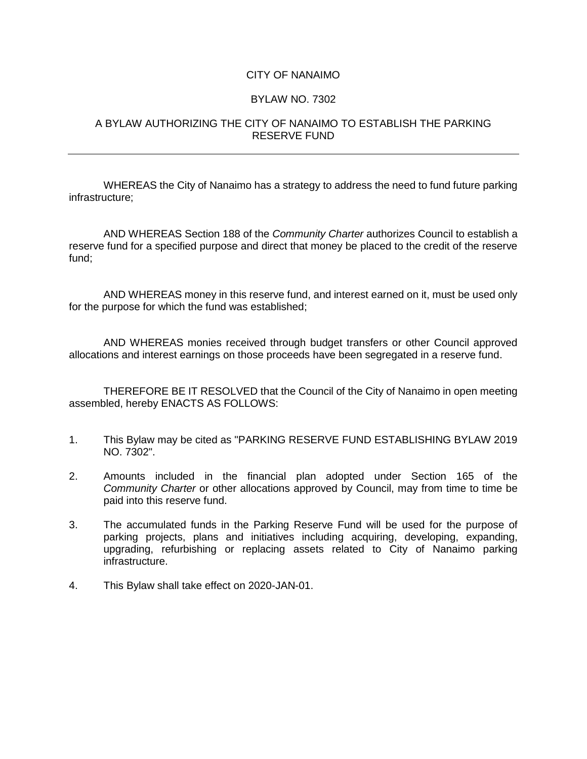## CITY OF NANAIMO

## BYLAW NO. 7302

## A BYLAW AUTHORIZING THE CITY OF NANAIMO TO ESTABLISH THE PARKING RESERVE FUND

WHEREAS the City of Nanaimo has a strategy to address the need to fund future parking infrastructure;

AND WHEREAS Section 188 of the *Community Charter* authorizes Council to establish a reserve fund for a specified purpose and direct that money be placed to the credit of the reserve fund;

AND WHEREAS money in this reserve fund, and interest earned on it, must be used only for the purpose for which the fund was established;

AND WHEREAS monies received through budget transfers or other Council approved allocations and interest earnings on those proceeds have been segregated in a reserve fund.

THEREFORE BE IT RESOLVED that the Council of the City of Nanaimo in open meeting assembled, hereby ENACTS AS FOLLOWS:

- 1. This Bylaw may be cited as "PARKING RESERVE FUND ESTABLISHING BYLAW 2019 NO. 7302".
- 2. Amounts included in the financial plan adopted under Section 165 of the *Community Charter* or other allocations approved by Council, may from time to time be paid into this reserve fund.
- 3. The accumulated funds in the Parking Reserve Fund will be used for the purpose of parking projects, plans and initiatives including acquiring, developing, expanding, upgrading, refurbishing or replacing assets related to City of Nanaimo parking infrastructure.
- 4. This Bylaw shall take effect on 2020-JAN-01.